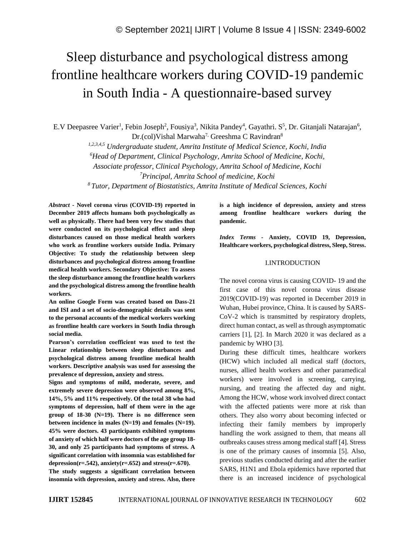# Sleep disturbance and psychological distress among frontline healthcare workers during COVID-19 pandemic in South India - A questionnaire-based survey

E.V Deepasree Varier<sup>1</sup>, Febin Joseph<sup>2</sup>, Fousiya<sup>3</sup>, Nikita Pandey<sup>4</sup>, Gayathri. S<sup>5</sup>, Dr. Gitanjali Natarajan<sup>6</sup>, Dr.(col)Vishal Marwaha<sup>7,</sup> Greeshma C Ravindran<sup>8</sup>

*1,2,3,4,5 Undergraduate student, Amrita Institute of Medical Science, Kochi, India <sup>6</sup>Head of Department, Clinical Psychology, Amrita School of Medicine, Kochi, Associate professor, Clinical Psychology, Amrita School of Medicine, Kochi <sup>7</sup>Principal, Amrita School of medicine, Kochi*

*<sup>8</sup>Tutor, Department of Biostatistics, Amrita Institute of Medical Sciences, Kochi*

*Abstract -* **Novel corona virus (COVID-19) reported in December 2019 affects humans both psychologically as well as physically. There had been very few studies that were conducted on its psychological effect and sleep disturbances caused on those medical health workers who work as frontline workers outside India. Primary Objective: To study the relationship between sleep disturbances and psychological distress among frontline medical health workers. Secondary Objective: To assess the sleep disturbance among the frontline health workers and the psychological distress among the frontline health workers.**

**An online Google Form was created based on Dass-21 and ISI and a set of socio-demographic details was sent to the personal accounts of the medical workers working as frontline health care workers in South India through social media.**

**Pearson's correlation coefficient was used to test the Linear relationship between sleep disturbances and psychological distress among frontline medical health workers. Descriptive analysis was used for assessing the prevalence of depression, anxiety and stress.**

**Signs and symptoms of mild, moderate, severe, and extremely severe depression were observed among 8%, 14%, 5% and 11% respectively. Of the total 38 who had symptoms of depression, half of them were in the age group of 18-30 (N=19). There is no difference seen between incidence in males (N=19) and females (N=19). 45% were doctors. 43 participants exhibited symptoms of anxiety of which half were doctors of the age group 18- 30, and only 25 participants had symptoms of stress. A significant correlation with insomnia was established for**  depression( $r=.542$ ), anxiety( $r=.652$ ) and stress( $r=.670$ ).

**The study suggests a significant correlation between insomnia with depression, anxiety and stress. Also, there**  **is a high incidence of depression, anxiety and stress among frontline healthcare workers during the pandemic.**

*Index Terms -* **Anxiety, COVID 19, Depression, Healthcare workers, psychological distress, Sleep, Stress.**

## I.INTRODUCTION

The novel corona virus is causing COVID- 19 and the first case of this novel corona virus disease 2019(COVID-19) was reported in December 2019 in Wuhan, Hubei province, China. It is caused by SARS-CoV-2 which is transmitted by respiratory droplets, direct human contact, as well as through asymptomatic carriers [1], [2]. In March 2020 it was declared as a pandemic by WHO [3].

During these difficult times, healthcare workers (HCW) which included all medical staff (doctors, nurses, allied health workers and other paramedical workers) were involved in screening, carrying, nursing, and treating the affected day and night. Among the HCW, whose work involved direct contact with the affected patients were more at risk than others. They also worry about becoming infected or infecting their family members by improperly handling the work assigned to them, that means all outbreaks causes stress among medical staff [4]. Stress is one of the primary causes of insomnia [5]. Also, previous studies conducted during and after the earlier SARS, H1N1 and Ebola epidemics have reported that there is an increased incidence of psychological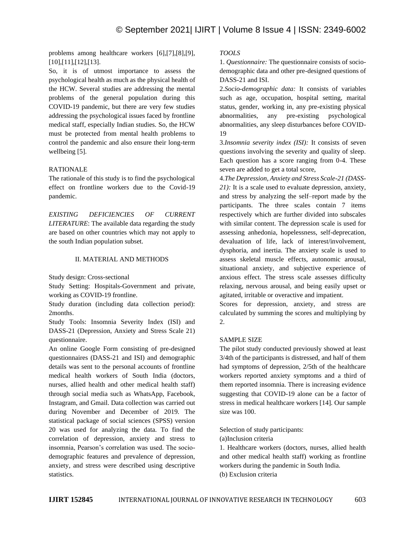problems among healthcare workers [6],[7],[8],[9], [10],[11],[12],[13].

So, it is of utmost importance to assess the psychological health as much as the physical health of the HCW. Several studies are addressing the mental problems of the general population during this COVID-19 pandemic, but there are very few studies addressing the psychological issues faced by frontline medical staff, especially Indian studies. So, the HCW must be protected from mental health problems to control the pandemic and also ensure their long-term wellbeing [5].

# RATIONALE

The rationale of this study is to find the psychological effect on frontline workers due to the Covid-19 pandemic.

*EXISTING DEFICIENCIES OF CURRENT LITERATURE*: The available data regarding the study are based on other countries which may not apply to the south Indian population subset.

### II. MATERIAL AND METHODS

Study design: Cross-sectional

Study Setting: Hospitals-Government and private, working as COVID-19 frontline.

Study duration (including data collection period): 2months.

Study Tools: Insomnia Severity Index (ISI) and DASS-21 (Depression, Anxiety and Stress Scale 21) questionnaire.

An online Google Form consisting of pre-designed questionnaires (DASS-21 and ISI) and demographic details was sent to the personal accounts of frontline medical health workers of South India (doctors, nurses, allied health and other medical health staff) through social media such as WhatsApp, Facebook, Instagram, and Gmail. Data collection was carried out during November and December of 2019. The statistical package of social sciences (SPSS) version 20 was used for analyzing the data. To find the correlation of depression, anxiety and stress to insomnia, Pearson's correlation was used. The sociodemographic features and prevalence of depression, anxiety, and stress were described using descriptive statistics.

# *TOOLS*

1. *Questionnaire:* The questionnaire consists of sociodemographic data and other pre-designed questions of DASS-21 and ISI.

2.*Socio-demographic data:* It consists of variables such as age, occupation, hospital setting, marital status, gender, working in, any pre-existing physical abnormalities, any pre-existing psychological abnormalities, any sleep disturbances before COVID-19

3.*Insomnia severity index (ISI):* It consists of seven questions involving the severity and quality of sleep. Each question has a score ranging from 0-4. These seven are added to get a total score,

4.*The Depression, Anxiety and Stress Scale-21 (DASS-21):* It is a scale used to evaluate depression, anxiety, and stress by analyzing the self–report made by the participants. The three scales contain 7 items respectively which are further divided into subscales with similar content. The depression scale is used for assessing anhedonia, hopelessness, self-deprecation, devaluation of life, lack of interest/involvement, dysphoria, and inertia. The anxiety scale is used to assess skeletal muscle effects, autonomic arousal, situational anxiety, and subjective experience of anxious effect. The stress scale assesses difficulty relaxing, nervous arousal, and being easily upset or agitated, irritable or overactive and impatient.

Scores for depression, anxiety, and stress are calculated by summing the scores and multiplying by 2.

#### SAMPLE SIZE

The pilot study conducted previously showed at least 3/4th of the participants is distressed, and half of them had symptoms of depression, 2/5th of the healthcare workers reported anxiety symptoms and a third of them reported insomnia. There is increasing evidence suggesting that COVID-19 alone can be a factor of stress in medical healthcare workers [14]. Our sample size was 100.

Selection of study participants:

(a)Inclusion criteria

1. Healthcare workers (doctors, nurses, allied health and other medical health staff) working as frontline workers during the pandemic in South India. (b) Exclusion criteria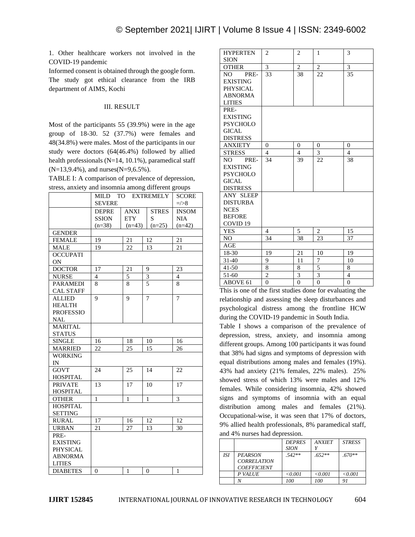1. Other healthcare workers not involved in the COVID-19 pandemic

Informed consent is obtained through the google form. The study got ethical clearance from the IRB department of AIMS, Kochi

# III. RESULT

Most of the participants 55 (39.9%) were in the age group of 18-30. 52 (37.7%) were females and 48(34.8%) were males. Most of the participants in our study were doctors (64(46.4%) followed by allied health professionals (N=14, 10.1%), paramedical staff  $(N=13,9.4\%)$ , and nurses $(N=9,6.5\%)$ .

| TABLE I: A comparison of prevalence of depression,  |
|-----------------------------------------------------|
| stress, anxiety and insomnia among different groups |

|                  | MILD TO EXTREMELY | <b>SCORE</b>   |                |                 |
|------------------|-------------------|----------------|----------------|-----------------|
|                  | <b>SEVERE</b>     |                |                | $\approx$       |
|                  | <b>DEPRE</b>      | ANXI           | <b>STRES</b>   | <b>INSOM</b>    |
|                  | <b>SSION</b>      | ETY            | S              | <b>NIA</b>      |
|                  | $(n=38)$          | $(n=43)$       | $(n=25)$       | $(n=42)$        |
| <b>GENDER</b>    |                   |                |                |                 |
| <b>FEMALE</b>    | 19                | 21             | 12             | 21              |
| <b>MALE</b>      | 19                | 22             | 13             | $\overline{21}$ |
| <b>OCCUPATI</b>  |                   |                |                |                 |
| ON               |                   |                |                |                 |
| <b>DOCTOR</b>    | 17                | 21             | 9              | 23              |
| <b>NURSE</b>     | 4                 | 5              | 3              | $\overline{4}$  |
| <b>PARAMEDI</b>  | 8                 | 8              | $\overline{5}$ | 8               |
| <b>CAL STAFF</b> |                   |                |                |                 |
| <b>ALLIED</b>    | 9                 | 9              | $\overline{7}$ | 7               |
| <b>HEALTH</b>    |                   |                |                |                 |
| <b>PROFESSIO</b> |                   |                |                |                 |
| NAL              |                   |                |                |                 |
| <b>MARITAL</b>   |                   |                |                |                 |
| <b>STATUS</b>    |                   |                |                |                 |
| <b>SINGLE</b>    | 16                | 18             | 10             | 16              |
| <b>MARRIED</b>   | 22                | 25             | 15             | 26              |
| <b>WORKING</b>   |                   |                |                |                 |
| IN               |                   |                |                |                 |
| <b>GOVT</b>      | 24                | 25             | 14             | 22              |
| <b>HOSPITAL</b>  |                   |                |                |                 |
| <b>PRIVATE</b>   | 13                | 17             | 10             | 17              |
| <b>HOSPITAL</b>  |                   |                |                |                 |
| <b>OTHER</b>     | $\mathbf{1}$      | $\overline{1}$ | $\mathbf{1}$   | $\overline{3}$  |
| <b>HOSPITAL</b>  |                   |                |                |                 |
| <b>SETTING</b>   |                   |                |                |                 |
| <b>RURAL</b>     | 17                | 16             | 12             | 12              |
| <b>URBAN</b>     | 21                | 27             | 13             | 30              |
| PRE-             |                   |                |                |                 |
| <b>EXISTING</b>  |                   |                |                |                 |
| <b>PHYSICAL</b>  |                   |                |                |                 |
| <b>ABNORMA</b>   |                   |                |                |                 |
| <b>LITIES</b>    |                   |                |                |                 |
| <b>DIABETES</b>  | 0                 | 1              | 0              | $\mathbf{1}$    |

| <b>HYPERTEN</b>     | $\overline{c}$ | 2              | 1              | 3              |
|---------------------|----------------|----------------|----------------|----------------|
| <b>SION</b>         |                |                |                |                |
| <b>OTHER</b>        | 3              | $\overline{c}$ | $\overline{c}$ | 3              |
| NO –<br>PRE-        | 33             | 38             | 22             | 35             |
| <b>EXISTING</b>     |                |                |                |                |
| <b>PHYSICAL</b>     |                |                |                |                |
| <b>ABNORMA</b>      |                |                |                |                |
| <b>LITIES</b>       |                |                |                |                |
| PRE-                |                |                |                |                |
| <b>EXISTING</b>     |                |                |                |                |
| <b>PSYCHOLO</b>     |                |                |                |                |
| <b>GICAL</b>        |                |                |                |                |
| <b>DISTRESS</b>     |                |                |                |                |
| <b>ANXIETY</b>      | $\Omega$       | $\overline{0}$ | $\overline{0}$ | $\overline{0}$ |
| <b>STRESS</b>       | $\overline{4}$ | $\overline{4}$ | $\overline{3}$ | $\overline{4}$ |
| NO.<br>PRE-         | 34             | 39             | 22             | 38             |
| <b>EXISTING</b>     |                |                |                |                |
| <b>PSYCHOLO</b>     |                |                |                |                |
| <b>GICAL</b>        |                |                |                |                |
| <b>DISTRESS</b>     |                |                |                |                |
| <b>ANY SLEEP</b>    |                |                |                |                |
| <b>DISTURBA</b>     |                |                |                |                |
| <b>NCES</b>         |                |                |                |                |
| <b>BEFORE</b>       |                |                |                |                |
| COVID <sub>19</sub> |                |                |                |                |
| <b>YES</b>          | 4              | 5              | 2              | 15             |
| NO.                 | 34             | 38             | 23             | 37             |
| AGE                 |                |                |                |                |
| 18-30               | 19             | 21             | 10             | 19             |
| 31-40               | 9              | 11             | 7              | 10             |
| 41-50               | 8              | 8              | 5              | 8              |
| 51-60               | $\overline{2}$ | $\overline{3}$ | $\overline{3}$ | $\overline{4}$ |
| <b>ABOVE 61</b>     | $\theta$       | $\overline{0}$ | $\overline{0}$ | $\overline{0}$ |

This is one of the first studies done for evaluating the relationship and assessing the sleep disturbances and psychological distress among the frontline HCW during the COVID-19 pandemic in South India.

Table I shows a comparison of the prevalence of depression, stress, anxiety, and insomnia among different groups. Among 100 participants it was found that 38% had signs and symptoms of depression with equal distributions among males and females (19%). 43% had anxiety (21% females, 22% males). 25% showed stress of which 13% were males and 12% females. While considering insomnia, 42% showed signs and symptoms of insomnia with an equal distribution among males and females (21%). Occupational-wise, it was seen that 17% of doctors, 9% allied health professionals, 8% paramedical staff, and 4% nurses had depression.

|     |                                                            | <b>DEPRES</b> | <b>ANXIET</b> | <b>STRESS</b> |  |  |
|-----|------------------------------------------------------------|---------------|---------------|---------------|--|--|
|     |                                                            | <b>SION</b>   |               |               |  |  |
| ISI | <b>PEARSON</b><br><b>CORRELATION</b><br><b>COEFFICIENT</b> | $.542**$      | $.652**$      | $.670**$      |  |  |
|     | P VALUE                                                    | < 0.001       | < 0.001       | < 0.001       |  |  |
|     |                                                            | 100           | 100           |               |  |  |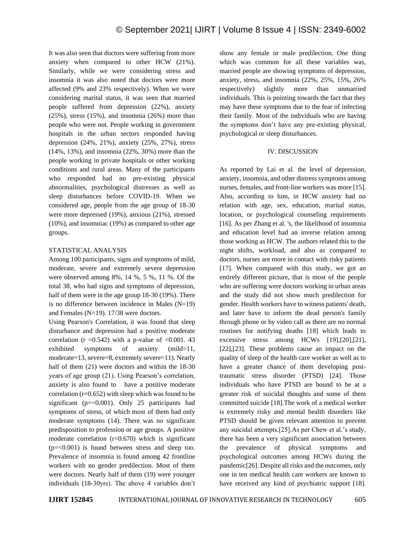It was also seen that doctors were suffering from more anxiety when compared to other HCW (21%). Similarly, while we were considering stress and insomnia it was also noted that doctors were more affected (9% and 23% respectively). When we were considering marital status, it was seen that married people suffered from depression (22%), anxiety (25%), stress (15%), and insomnia (26%) more than people who were not. People working in government hospitals in the urban sectors responded having depression (24%, 21%), anxiety (25%, 27%), stress (14%, 13%), and insomnia (22%, 30%) more than the people working in private hospitals or other working conditions and rural areas. Many of the participants who responded had no pre-existing physical abnormalities, psychological distresses as well as sleep disturbances before COVID-19. When we considered age, people from the age group of 18-30 were more depressed (19%), anxious (21%), stressed (10%), and insomniac (19%) as compared to other age groups.

# STATISTICAL ANALYSIS

Among 100 participants, signs and symptoms of mild, moderate, severe and extremely severe depression were observed among 8%, 14 %, 5 %, 11 %. Of the total 38, who had signs and symptoms of depression, half of them were in the age group 18-30 (19%). There is no difference between incidence in Males  $(N=19)$ and Females (N=19). 17/38 were doctors.

Using Pearson's Correlation, it was found that sleep disturbance and depression had a positive moderate correlation (r =  $0.542$ ) with a p-value of < 0.001. 43 exhibited symptoms of anxiety (mild=11, moderate=13, severe=8, extremely severe=11). Nearly half of them (21) were doctors and within the 18-30 years of age group (21). Using Pearson's correlation, anxiety is also found to have a positive moderate correlation  $(r=0.652)$  with sleep which was found to be significant ( $p = 0.001$ ). Only 25 participants had symptoms of stress, of which most of them had only moderate symptoms (14). There was no significant predisposition to profession or age groups. A positive moderate correlation  $(r=0.670)$  which is significant  $(p=<0.001)$  is found between stress and sleep too. Prevalence of insomnia is found among 42 frontline workers with no gender predilection. Most of them were doctors. Nearly half of them (19) were younger individuals (18-30yrs). The above 4 variables don't show any female or male predilection. One thing which was common for all these variables was, married people are showing symptoms of depression, anxiety, stress, and insomnia (22%, 25%, 15%, 26% respectively) slightly more than unmarried individuals. This is pointing towards the fact that they may have these symptoms due to the fear of infecting their family. Most of the individuals who are having the symptoms don't have any pre-existing physical, psychological or sleep disturbances.

# IV. DISCUSSION

As reported by Lai et al. the level of depression, anxiety, insomnia, and other distress symptoms among nurses, females, and front-line workers was more [15]. Also, according to him, in HCW anxiety had no relation with age, sex, education, marital status, location, or psychological counseling requirements [16]. As per Zhang et al. 's, the likelihood of insomnia and education level had an inverse relation among those working as HCW. The authors related this to the night shifts, workload, and also as compared to doctors, nurses are more in contact with risky patients [17]. When compared with this study, we got an entirely different picture, that is most of the people who are suffering were doctors working in urban areas and the study did not show much predilection for gender. Health workers have to witness patients' death, and later have to inform the dead person's family through phone or by video call as there are no normal routines for notifying deaths [18] which leads to excessive stress among HCWs [19],[20],[21], [22],[23]. These problems cause an impact on the quality of sleep of the health care worker as well as to have a greater chance of them developing posttraumatic stress disorder (PTSD) [24]. Those individuals who have PTSD are bound to be at a greater risk of suicidal thoughts and some of them committed suicide [18].The work of a medical worker is extremely risky and mental health disorders like PTSD should be given relevant attention to prevent any suicidal attempts.[25].As per Chew et al.'s study, there has been a very significant association between the prevalence of physical symptoms and psychological outcomes among HCWs during the pandemic[26]. Despite all risks and the outcomes, only one in ten medical health care workers are known to have received any kind of psychiatric support [18].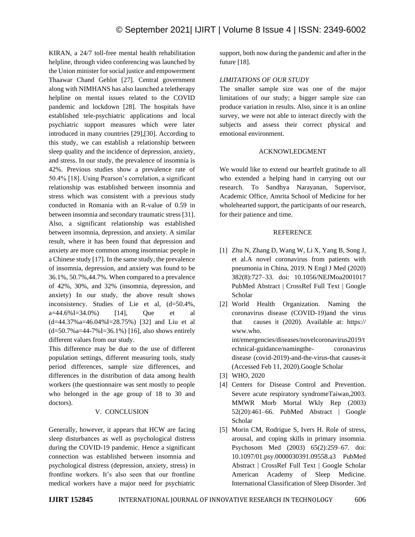KIRAN, a 24/7 toll-free mental health rehabilitation helpline, through video conferencing was launched by the Union minister for social justice and empowerment Thaawar Chand Gehlot [27]. Central government along with NIMHANS has also launched a teletherapy helpline on mental issues related to the COVID pandemic and lockdown [28]. The hospitals have established tele-psychiatric applications and local psychiatric support measures which were later introduced in many countries [29],[30]. According to this study, we can establish a relationship between sleep quality and the incidence of depression, anxiety, and stress. In our study, the prevalence of insomnia is 42%. Previous studies show a prevalence rate of 50.4% [18]. Using Pearson's correlation, a significant relationship was established between insomnia and stress which was consistent with a previous study conducted in Romania with an R-value of 0.59 in between insomnia and secondary traumatic stress [31]. Also, a significant relationship was established between insomnia, depression, and anxiety. A similar result, where it has been found that depression and anxiety are more common among insomniac people in a Chinese study [17]. In the same study, the prevalence of insomnia, depression, and anxiety was found to be 36.1%, 50.7%,44.7%. When compared to a prevalence of 42%, 30%, and 32% (insomnia, depression, and anxiety) In our study, the above result shows inconsistency. Studies of Lie et al, (d=50.4%, a=44.6%I=34.0%) [14], Que et al (d=44.37%a=46.04%I=28.75%) [32] and Liu et al  $(d=50.7\%a=44-7\%I=36.1\%)$  [16], also shows entirely different values from our study.

This difference may be due to the use of different population settings, different measuring tools, study period differences, sample size differences, and differences in the distribution of data among health workers (the questionnaire was sent mostly to people who belonged in the age group of 18 to 30 and doctors).

# V. CONCLUSION

Generally, however, it appears that HCW are facing sleep disturbances as well as psychological distress during the COVID-19 pandemic. Hence a significant connection was established between insomnia and psychological distress (depression, anxiety, stress) in frontline workers. It's also seen that our frontline medical workers have a major need for psychiatric support, both now during the pandemic and after in the future [18].

# *LIMITATIONS OF OUR STUDY*

The smaller sample size was one of the major limitations of our study; a bigger sample size can produce variation in results. Also, since it is an online survey, we were not able to interact directly with the subjects and assess their correct physical and emotional environment.

# ACKNOWLEDGMENT

We would like to extend our heartfelt gratitude to all who extended a helping hand in carrying out our research. To Sandhya Narayanan, Supervisor, Academic Office, Amrita School of Medicine for her wholehearted support, the participants of our research, for their patience and time.

# REFERENCE

- [1] Zhu N, Zhang D, Wang W, Li X, Yang B, Song J, et al.A novel coronavirus from patients with pneumonia in China, 2019. N Engl J Med (2020) 382(8):727–33. doi: 10.1056/NEJMoa2001017 PubMed Abstract | CrossRef Full Text | Google Scholar
- [2] World Health Organization. Naming the coronavirus disease (COVID-19)and the virus that causes it (2020). Available at: https:// www.who. int/emergencies/diseases/novelcoronavirus2019/t echnical-guidance/namingthe- coronavirus disease (covid-2019)-and-the-virus-that causes-it
	- (Accessed Feb 11, 2020).Google Scholar
- [3] WHO, 2020
- [4] Centers for Disease Control and Prevention. Severe acute respiratory syndromeTaiwan,2003. MMWR Morb Mortal Wkly Rep (2003) 52(20):461–66. PubMed Abstract | Google Scholar
- [5] Morin CM, Rodrigue S, Ivers H. Role of stress, arousal, and coping skills in primary insomnia. Psychosom Med (2003) 65(2):259–67. doi: 10.1097/01.psy.0000030391.09558.a3 PubMed Abstract | CrossRef Full Text | Google Scholar American Academy of Sleep Medicine. International Classification of Sleep Disorder. 3rd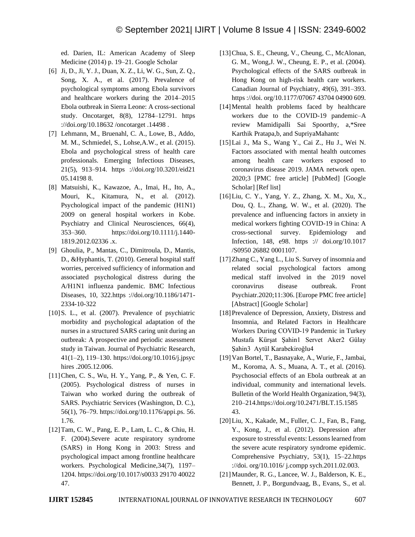ed. Darien, IL: American Academy of Sleep Medicine (2014) p. 19–21. Google Scholar

- [6] Ji, D., Ji, Y. J., Duan, X. Z., Li, W. G., Sun, Z. Q., Song, X. A., et al. (2017). Prevalence of psychological symptoms among Ebola survivors and healthcare workers during the 2014–2015 Ebola outbreak in Sierra Leone: A cross-sectional study. Oncotarget, 8(8), 12784–12791. https ://doi.org/10.18632 /oncotarget .14498 .
- [7] Lehmann, M., Bruenahl, C. A., Lowe, B., Addo, M. M., Schmiedel, S., Lohse,A.W., et al. (2015). Ebola and psychological stress of health care professionals. Emerging Infectious Diseases, 21(5), 913–914. https ://doi.org/10.3201/eid21 05.14198 8.
- [8] Matsuishi, K., Kawazoe, A., Imai, H., Ito, A., Mouri, K., Kitamura, N., et al. (2012). Psychological impact of the pandemic (H1N1) 2009 on general hospital workers in Kobe. Psychiatry and Clinical Neurosciences, 66(4), 353–360. https://doi.org/10.1111/j.1440- 1819.2012.02336 .x.
- [9] Ghoulia, P., Mantas, C., Dimitroula, D., Mantis, D., &Hyphantis, T. (2010). General hospital staff worries, perceived sufficiency of information and associated psychological distress during the A/H1N1 influenza pandemic. BMC Infectious Diseases, 10, 322.https ://doi.org/10.1186/1471- 2334-10-322
- [10] S. L., et al. (2007). Prevalence of psychiatric morbidity and psychological adaptation of the nurses in a structured SARS caring unit during an outbreak: A prospective and periodic assessment study in Taiwan. Journal of Psychiatric Research, 41(1–2), 119–130. https://doi.org/10.1016/j.jpsyc hires .2005.12.006.
- [11]Chen, C. S., Wu, H. Y., Yang, P., & Yen, C. F. (2005). Psychological distress of nurses in Taiwan who worked during the outbreak of SARS. Psychiatric Services (Washington, D. C.), 56(1), 76–79. https://doi.org/10.1176/appi.ps. 56. 1.76.
- [12]Tam, C. W., Pang, E. P., Lam, L. C., & Chiu, H. F. (2004).Severe acute respiratory syndrome (SARS) in Hong Kong in 2003: Stress and psychological impact among frontline healthcare workers. Psychological Medicine,34(7), 1197– 1204. https://doi.org/10.1017/s0033 29170 40022 47.
- [13]Chua, S. E., Cheung, V., Cheung, C., McAlonan, G. M., Wong,J. W., Cheung, E. P., et al. (2004). Psychological effects of the SARS outbreak in Hong Kong on high-risk health care workers. Canadian Journal of Psychiatry, 49(6), 391–393. https ://doi. org/10.1177/07067 43704 04900 609.
- [14]Mental health problems faced by healthcare workers due to the COVID-19 pandemic–A review Mamidipalli Sai Spoorthy, a,\*Sree Karthik Pratapa,b, and SupriyaMahantc
- [15]Lai J., Ma S., Wang Y., Cai Z., Hu J., Wei N. Factors associated with mental health outcomes among health care workers exposed to coronavirus disease 2019. JAMA network open. 2020;3 [PMC free article] [PubMed] [Google Scholar] [Ref list]
- [16]Liu, C. Y., Yang, Y. Z., Zhang, X. M., Xu, X., Dou, Q. L., Zhang, W. W., et al. (2020). The prevalence and influencing factors in anxiety in medical workers fighting COVID-19 in China: A cross-sectional survey. Epidemiology and Infection, 148, e98. https :// doi.org/10.1017 /S0950 26882 0001107.
- [17]Zhang C., Yang L., Liu S. Survey of insomnia and related social psychological factors among medical staff involved in the 2019 novel coronavirus disease outbreak. Front Psychiatr.2020;11:306. [Europe PMC free article] [Abstract] [Google Scholar]
- [18] Prevalence of Depression, Anxiety, Distress and Insomnia, and Related Factors in Healthcare Workers During COVID‑19 Pandemic in Turkey Mustafa Kürşat Şahin1 Servet Aker2 Gülay Şahin3 Aytül Karabekiroğlu4
- [19]Van Bortel, T., Basnayake, A., Wurie, F., Jambai, M., Koroma, A. S., Muana, A. T., et al. (2016). Psychosocial effects of an Ebola outbreak at an individual, community and international levels. Bulletin of the World Health Organization, 94(3), 210–214.https://doi.org/10.2471/BLT.15.1585 43.
- [20]Liu, X., Kakade, M., Fuller, C. J., Fan, B., Fang, Y., Kong, J., et al. (2012). Depression after exposure to stressful events: Lessons learned from the severe acute respiratory syndrome epidemic. Comprehensive Psychiatry, 53(1), 15–22.https ://doi. org/10.1016/ j.compp sych.2011.02.003.
- [21]Maunder, R. G., Lancee, W. J., Balderson, K. E., Bennett, J. P., Borgundvaag, B., Evans, S., et al.